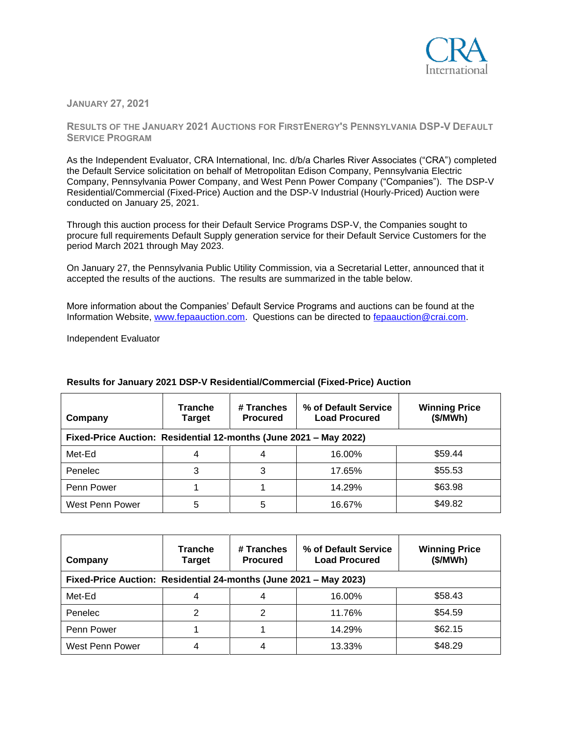

#### **JANUARY 27, 2021**

### **RESULTS OF THE JANUARY 2021 AUCTIONS FOR FIRSTENERGY'S PENNSYLVANIA DSP-V DEFAULT SERVICE PROGRAM**

As the Independent Evaluator, CRA International, Inc. d/b/a Charles River Associates ("CRA") completed the Default Service solicitation on behalf of Metropolitan Edison Company, Pennsylvania Electric Company, Pennsylvania Power Company, and West Penn Power Company ("Companies"). The DSP-V Residential/Commercial (Fixed-Price) Auction and the DSP-V Industrial (Hourly-Priced) Auction were conducted on January 25, 2021.

Through this auction process for their Default Service Programs DSP-V, the Companies sought to procure full requirements Default Supply generation service for their Default Service Customers for the period March 2021 through May 2023.

On January 27, the Pennsylvania Public Utility Commission, via a Secretarial Letter, announced that it accepted the results of the auctions. The results are summarized in the table below.

More information about the Companies' Default Service Programs and auctions can be found at the Information Website, [www.fepaauction.com.](http://www.fepaauction.com/) Questions can be directed to [fepaauction@crai.com.](mailto:fepaauction@crai.com)

Independent Evaluator

| Company                                                           | <b>Tranche</b><br>Target | # Tranches<br><b>Procured</b> | % of Default Service<br><b>Load Procured</b> | <b>Winning Price</b><br>(\$/MWh) |  |
|-------------------------------------------------------------------|--------------------------|-------------------------------|----------------------------------------------|----------------------------------|--|
| Fixed-Price Auction: Residential 12-months (June 2021 - May 2022) |                          |                               |                                              |                                  |  |
| Met-Ed                                                            |                          | 4                             | 16.00%                                       | \$59.44                          |  |
| Penelec                                                           |                          | 3                             | 17.65%                                       | \$55.53                          |  |
| Penn Power                                                        |                          |                               | 14.29%                                       | \$63.98                          |  |
| West Penn Power                                                   | 5                        | 5                             | 16.67%                                       | \$49.82                          |  |

#### **Results for January 2021 DSP-V Residential/Commercial (Fixed-Price) Auction**

| Company<br>Fixed-Price Auction: Residential 24-months (June 2021 – May 2023) | Tranche<br><b>Target</b> | # Tranches<br><b>Procured</b> | % of Default Service<br><b>Load Procured</b> | <b>Winning Price</b><br>(\$/MWh) |
|------------------------------------------------------------------------------|--------------------------|-------------------------------|----------------------------------------------|----------------------------------|
| Met-Ed                                                                       |                          |                               | 16.00%                                       | \$58.43                          |
| Penelec                                                                      | 2                        | 2                             | 11.76%                                       | \$54.59                          |
| Penn Power                                                                   |                          |                               | 14.29%                                       | \$62.15                          |
| West Penn Power                                                              | 4                        |                               | 13.33%                                       | \$48.29                          |